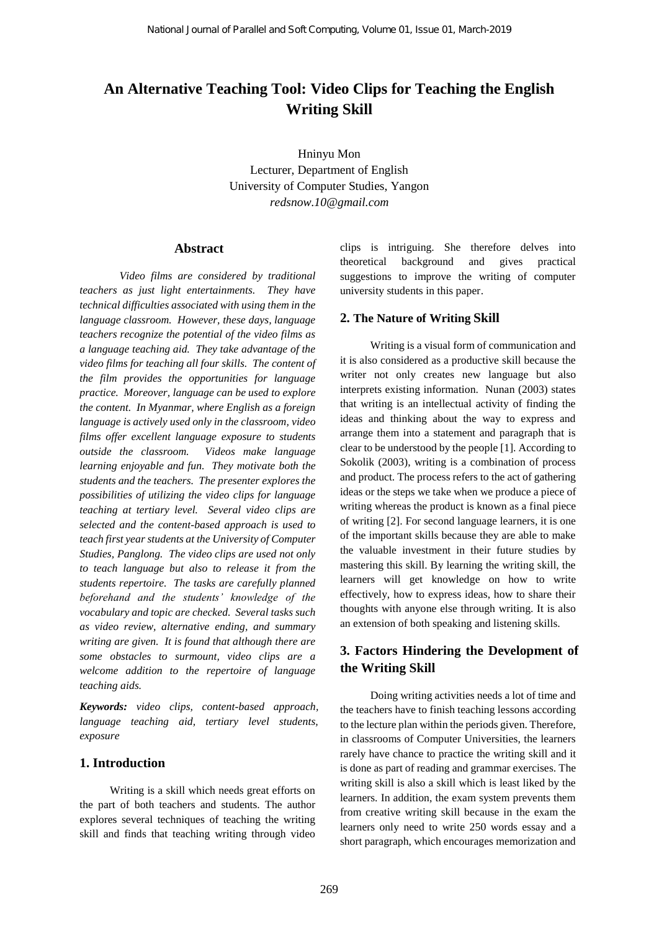# **An Alternative Teaching Tool: Video Clips for Teaching the English Writing Skill**

Hninyu Mon Lecturer, Department of English University of Computer Studies, Yangon *redsnow.10@gmail.com*

#### **Abstract**

*Video films are considered by traditional teachers as just light entertainments. They have technical difficulties associated with using them in the language classroom. However, these days, language teachers recognize the potential of the video films as a language teaching aid. They take advantage of the video films for teaching all four skills. The content of the film provides the opportunities for language practice. Moreover, language can be used to explore the content. In Myanmar, where English as a foreign language is actively used only in the classroom, video films offer excellent language exposure to students outside the classroom. Videos make language learning enjoyable and fun. They motivate both the students and the teachers. The presenter explores the possibilities of utilizing the video clips for language teaching at tertiary level. Several video clips are selected and the content-based approach is used to teach first year students at the University of Computer Studies, Panglong. The video clips are used not only to teach language but also to release it from the students repertoire. The tasks are carefully planned beforehand and the students' knowledge of the vocabulary and topic are checked. Several tasks such as video review, alternative ending, and summary writing are given. It is found that although there are some obstacles to surmount, video clips are a welcome addition to the repertoire of language teaching aids.*

*Keywords: video clips, content-based approach, language teaching aid, tertiary level students, exposure*

#### **1. Introduction**

Writing is a skill which needs great efforts on the part of both teachers and students. The author explores several techniques of teaching the writing skill and finds that teaching writing through video

clips is intriguing. She therefore delves into theoretical background and gives practical suggestions to improve the writing of computer university students in this paper.

#### **2. The Nature of Writing Skill**

Writing is a visual form of communication and it is also considered as a productive skill because the writer not only creates new language but also interprets existing information. Nunan (2003) states that writing is an intellectual activity of finding the ideas and thinking about the way to express and arrange them into a statement and paragraph that is clear to be understood by the people [1]. According to Sokolik (2003), writing is a combination of process and product. The process refers to the act of gathering ideas or the steps we take when we produce a piece of writing whereas the product is known as a final piece of writing [2]. For second language learners, it is one of the important skills because they are able to make the valuable investment in their future studies by mastering this skill. By learning the writing skill, the learners will get knowledge on how to write effectively, how to express ideas, how to share their thoughts with anyone else through writing. It is also an extension of both speaking and listening skills.

## **3. Factors Hindering the Development of the Writing Skill**

Doing writing activities needs a lot of time and the teachers have to finish teaching lessons according to the lecture plan within the periods given. Therefore, in classrooms of Computer Universities, the learners rarely have chance to practice the writing skill and it is done as part of reading and grammar exercises. The writing skill is also a skill which is least liked by the learners. In addition, the exam system prevents them from creative writing skill because in the exam the learners only need to write 250 words essay and a short paragraph, which encourages memorization and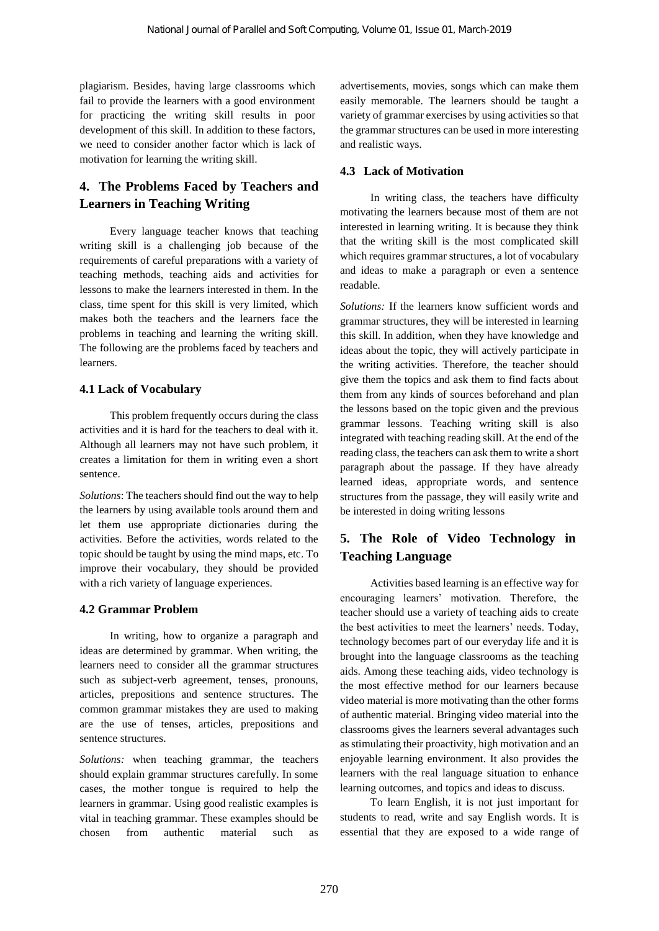plagiarism. Besides, having large classrooms which fail to provide the learners with a good environment for practicing the writing skill results in poor development of this skill. In addition to these factors, we need to consider another factor which is lack of motivation for learning the writing skill.

## **4. The Problems Faced by Teachers and Learners in Teaching Writing**

Every language teacher knows that teaching writing skill is a challenging job because of the requirements of careful preparations with a variety of teaching methods, teaching aids and activities for lessons to make the learners interested in them. In the class, time spent for this skill is very limited, which makes both the teachers and the learners face the problems in teaching and learning the writing skill. The following are the problems faced by teachers and learners.

### **4.1 Lack of Vocabulary**

This problem frequently occurs during the class activities and it is hard for the teachers to deal with it. Although all learners may not have such problem, it creates a limitation for them in writing even a short sentence.

*Solutions*: The teachers should find out the way to help the learners by using available tools around them and let them use appropriate dictionaries during the activities. Before the activities, words related to the topic should be taught by using the mind maps, etc. To improve their vocabulary, they should be provided with a rich variety of language experiences.

#### **4.2 Grammar Problem**

In writing, how to organize a paragraph and ideas are determined by grammar. When writing, the learners need to consider all the grammar structures such as subject-verb agreement, tenses, pronouns, articles, prepositions and sentence structures. The common grammar mistakes they are used to making are the use of tenses, articles, prepositions and sentence structures.

*Solutions:* when teaching grammar, the teachers should explain grammar structures carefully. In some cases, the mother tongue is required to help the learners in grammar. Using good realistic examples is vital in teaching grammar. These examples should be chosen from authentic material such as

advertisements, movies, songs which can make them easily memorable. The learners should be taught a variety of grammar exercises by using activities so that the grammar structures can be used in more interesting and realistic ways.

### **4.3 Lack of Motivation**

In writing class, the teachers have difficulty motivating the learners because most of them are not interested in learning writing. It is because they think that the writing skill is the most complicated skill which requires grammar structures, a lot of vocabulary and ideas to make a paragraph or even a sentence readable.

*Solutions:* If the learners know sufficient words and grammar structures, they will be interested in learning this skill. In addition, when they have knowledge and ideas about the topic, they will actively participate in the writing activities. Therefore, the teacher should give them the topics and ask them to find facts about them from any kinds of sources beforehand and plan the lessons based on the topic given and the previous grammar lessons. Teaching writing skill is also integrated with teaching reading skill. At the end of the reading class, the teachers can ask them to write a short paragraph about the passage. If they have already learned ideas, appropriate words, and sentence structures from the passage, they will easily write and be interested in doing writing lessons

## **5. The Role of Video Technology in Teaching Language**

Activities based learning is an effective way for encouraging learners' motivation. Therefore, the teacher should use a variety of teaching aids to create the best activities to meet the learners' needs. Today, technology becomes part of our everyday life and it is brought into the language classrooms as the teaching aids. Among these teaching aids, video technology is the most effective method for our learners because video material is more motivating than the other forms of authentic material. Bringing video material into the classrooms gives the learners several advantages such as stimulating their proactivity, high motivation and an enjoyable learning environment. It also provides the learners with the real language situation to enhance learning outcomes, and topics and ideas to discuss.

To learn English, it is not just important for students to read, write and say English words. It is essential that they are exposed to a wide range of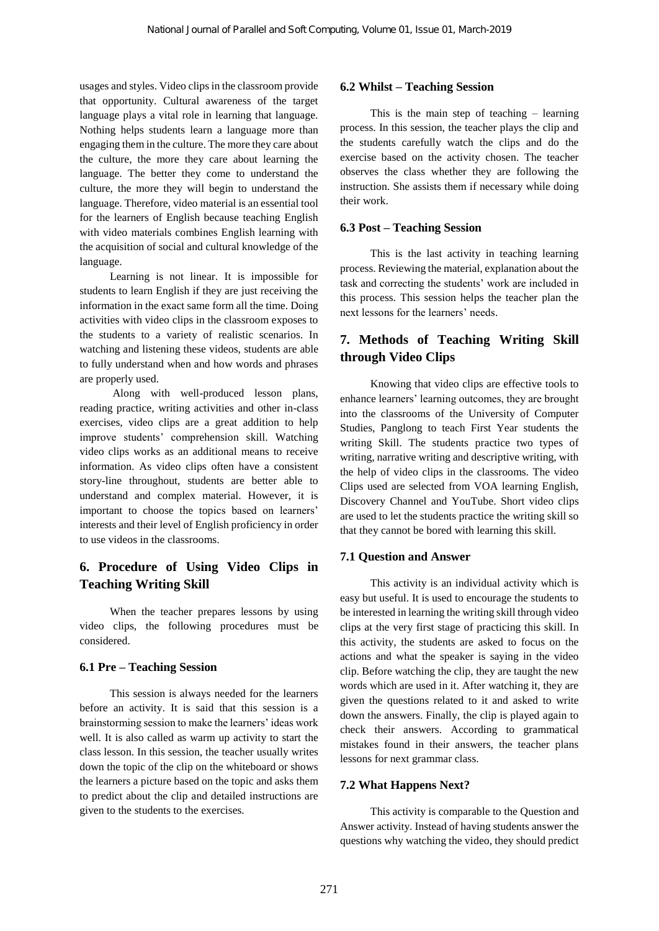usages and styles. Video clips in the classroom provide that opportunity. Cultural awareness of the target language plays a vital role in learning that language. Nothing helps students learn a language more than engaging them in the culture. The more they care about the culture, the more they care about learning the language. The better they come to understand the culture, the more they will begin to understand the language. Therefore, video material is an essential tool for the learners of English because teaching English with video materials combines English learning with the acquisition of social and cultural knowledge of the language.

Learning is not linear. It is impossible for students to learn English if they are just receiving the information in the exact same form all the time. Doing activities with video clips in the classroom exposes to the students to a variety of realistic scenarios. In watching and listening these videos, students are able to fully understand when and how words and phrases are properly used.

Along with well-produced lesson plans, reading practice, writing activities and other in-class exercises, video clips are a great addition to help improve students' comprehension skill. Watching video clips works as an additional means to receive information. As video clips often have a consistent story-line throughout, students are better able to understand and complex material. However, it is important to choose the topics based on learners' interests and their level of English proficiency in order to use videos in the classrooms.

## **6. Procedure of Using Video Clips in Teaching Writing Skill**

When the teacher prepares lessons by using video clips, the following procedures must be considered.

#### **6.1 Pre – Teaching Session**

This session is always needed for the learners before an activity. It is said that this session is a brainstorming session to make the learners' ideas work well. It is also called as warm up activity to start the class lesson. In this session, the teacher usually writes down the topic of the clip on the whiteboard or shows the learners a picture based on the topic and asks them to predict about the clip and detailed instructions are given to the students to the exercises.

#### **6.2 Whilst – Teaching Session**

This is the main step of teaching – learning process. In this session, the teacher plays the clip and the students carefully watch the clips and do the exercise based on the activity chosen. The teacher observes the class whether they are following the instruction. She assists them if necessary while doing their work.

#### **6.3 Post – Teaching Session**

This is the last activity in teaching learning process. Reviewing the material, explanation about the task and correcting the students' work are included in this process. This session helps the teacher plan the next lessons for the learners' needs.

## **7. Methods of Teaching Writing Skill through Video Clips**

Knowing that video clips are effective tools to enhance learners' learning outcomes, they are brought into the classrooms of the University of Computer Studies, Panglong to teach First Year students the writing Skill. The students practice two types of writing, narrative writing and descriptive writing, with the help of video clips in the classrooms. The video Clips used are selected from VOA learning English, Discovery Channel and YouTube. Short video clips are used to let the students practice the writing skill so that they cannot be bored with learning this skill.

#### **7.1 Question and Answer**

This activity is an individual activity which is easy but useful. It is used to encourage the students to be interested in learning the writing skill through video clips at the very first stage of practicing this skill. In this activity, the students are asked to focus on the actions and what the speaker is saying in the video clip. Before watching the clip, they are taught the new words which are used in it. After watching it, they are given the questions related to it and asked to write down the answers. Finally, the clip is played again to check their answers. According to grammatical mistakes found in their answers, the teacher plans lessons for next grammar class.

#### **7.2 What Happens Next?**

This activity is comparable to the Question and Answer activity. Instead of having students answer the questions why watching the video, they should predict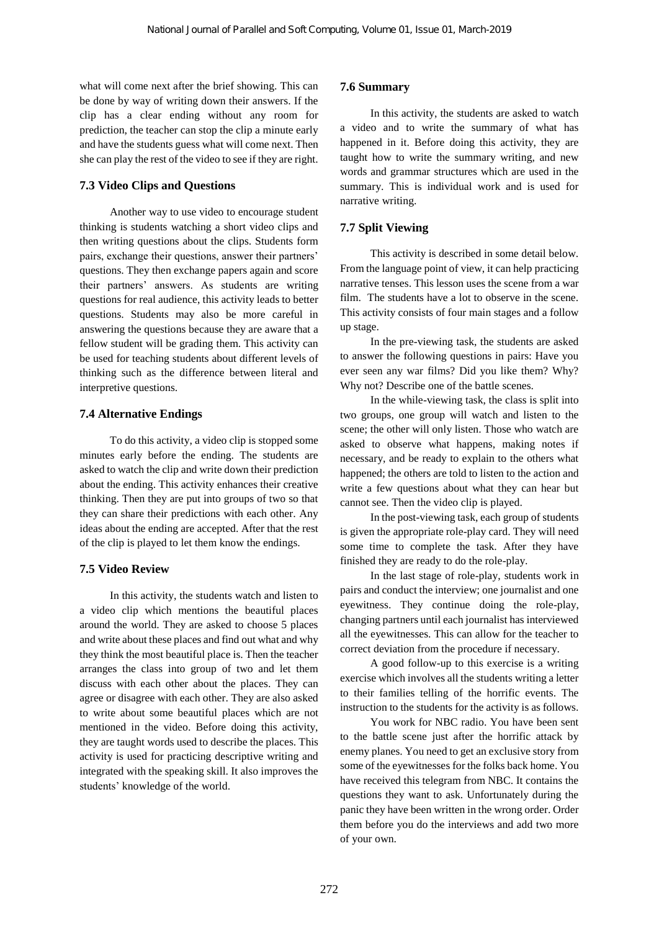what will come next after the brief showing. This can be done by way of writing down their answers. If the clip has a clear ending without any room for prediction, the teacher can stop the clip a minute early and have the students guess what will come next. Then she can play the rest of the video to see if they are right.

#### **7.3 Video Clips and Questions**

Another way to use video to encourage student thinking is students watching a short video clips and then writing questions about the clips. Students form pairs, exchange their questions, answer their partners' questions. They then exchange papers again and score their partners' answers. As students are writing questions for real audience, this activity leads to better questions. Students may also be more careful in answering the questions because they are aware that a fellow student will be grading them. This activity can be used for teaching students about different levels of thinking such as the difference between literal and interpretive questions.

#### **7.4 Alternative Endings**

To do this activity, a video clip is stopped some minutes early before the ending. The students are asked to watch the clip and write down their prediction about the ending. This activity enhances their creative thinking. Then they are put into groups of two so that they can share their predictions with each other. Any ideas about the ending are accepted. After that the rest of the clip is played to let them know the endings.

#### **7.5 Video Review**

In this activity, the students watch and listen to a video clip which mentions the beautiful places around the world. They are asked to choose 5 places and write about these places and find out what and why they think the most beautiful place is. Then the teacher arranges the class into group of two and let them discuss with each other about the places. They can agree or disagree with each other. They are also asked to write about some beautiful places which are not mentioned in the video. Before doing this activity, they are taught words used to describe the places. This activity is used for practicing descriptive writing and integrated with the speaking skill. It also improves the students' knowledge of the world.

#### **7.6 Summary**

In this activity, the students are asked to watch a video and to write the summary of what has happened in it. Before doing this activity, they are taught how to write the summary writing, and new words and grammar structures which are used in the summary. This is individual work and is used for narrative writing.

#### **7.7 Split Viewing**

This activity is described in some detail below. From the language point of view, it can help practicing narrative tenses. This lesson uses the scene from a war film. The students have a lot to observe in the scene. This activity consists of four main stages and a follow up stage.

In the pre-viewing task, the students are asked to answer the following questions in pairs: Have you ever seen any war films? Did you like them? Why? Why not? Describe one of the battle scenes.

In the while-viewing task, the class is split into two groups, one group will watch and listen to the scene; the other will only listen. Those who watch are asked to observe what happens, making notes if necessary, and be ready to explain to the others what happened; the others are told to listen to the action and write a few questions about what they can hear but cannot see. Then the video clip is played.

In the post-viewing task, each group of students is given the appropriate role-play card. They will need some time to complete the task. After they have finished they are ready to do the role-play.

In the last stage of role-play, students work in pairs and conduct the interview; one journalist and one eyewitness. They continue doing the role-play, changing partners until each journalist has interviewed all the eyewitnesses. This can allow for the teacher to correct deviation from the procedure if necessary.

A good follow-up to this exercise is a writing exercise which involves all the students writing a letter to their families telling of the horrific events. The instruction to the students for the activity is as follows.

You work for NBC radio. You have been sent to the battle scene just after the horrific attack by enemy planes. You need to get an exclusive story from some of the eyewitnesses for the folks back home. You have received this telegram from NBC. It contains the questions they want to ask. Unfortunately during the panic they have been written in the wrong order. Order them before you do the interviews and add two more of your own.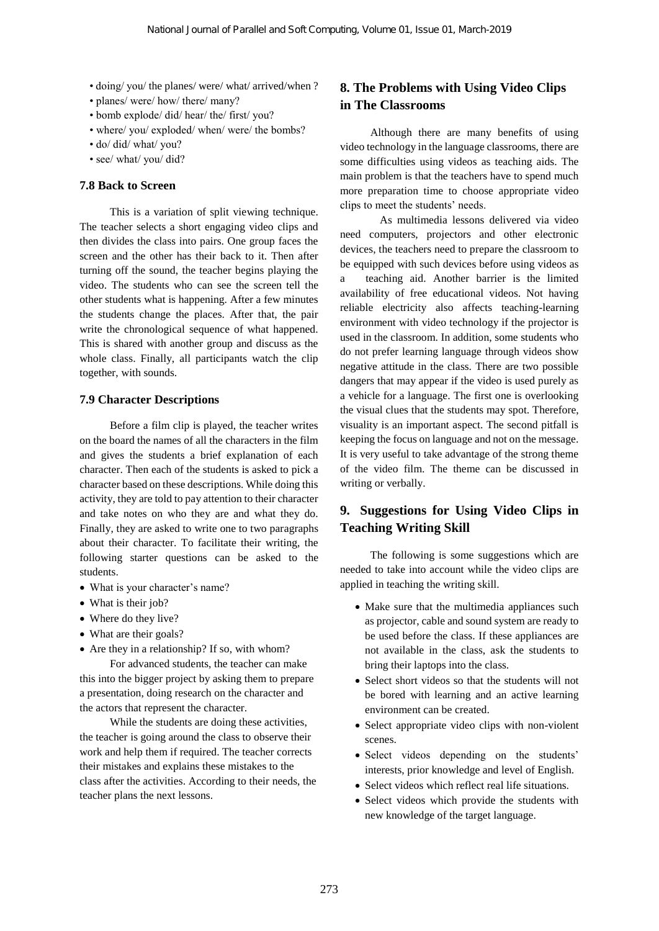- doing/ you/ the planes/ were/ what/ arrived/when ?
- planes/ were/ how/ there/ many?
- bomb explode/ did/ hear/ the/ first/ you?
- where/ you/ exploded/ when/ were/ the bombs?
- do/ did/ what/ you?
- see/ what/ you/ did?

#### **7.8 Back to Screen**

This is a variation of split viewing technique. The teacher selects a short engaging video clips and then divides the class into pairs. One group faces the screen and the other has their back to it. Then after turning off the sound, the teacher begins playing the video. The students who can see the screen tell the other students what is happening. After a few minutes the students change the places. After that, the pair write the chronological sequence of what happened. This is shared with another group and discuss as the whole class. Finally, all participants watch the clip together, with sounds.

#### **7.9 Character Descriptions**

Before a film clip is played, the teacher writes on the board the names of all the characters in the film and gives the students a brief explanation of each character. Then each of the students is asked to pick a character based on these descriptions. While doing this activity, they are told to pay attention to their character and take notes on who they are and what they do. Finally, they are asked to write one to two paragraphs about their character. To facilitate their writing, the following starter questions can be asked to the students.

- What is your character's name?
- What is their job?
- Where do they live?
- What are their goals?
- Are they in a relationship? If so, with whom?

For advanced students, the teacher can make this into the bigger project by asking them to prepare a presentation, doing research on the character and the actors that represent the character.

While the students are doing these activities, the teacher is going around the class to observe their work and help them if required. The teacher corrects their mistakes and explains these mistakes to the class after the activities. According to their needs, the teacher plans the next lessons.

## **8. The Problems with Using Video Clips in The Classrooms**

Although there are many benefits of using video technology in the language classrooms, there are some difficulties using videos as teaching aids. The main problem is that the teachers have to spend much more preparation time to choose appropriate video clips to meet the students' needs.

As multimedia lessons delivered via video need computers, projectors and other electronic devices, the teachers need to prepare the classroom to be equipped with such devices before using videos as a teaching aid. Another barrier is the limited availability of free educational videos. Not having reliable electricity also affects teaching-learning environment with video technology if the projector is used in the classroom. In addition, some students who do not prefer learning language through videos show negative attitude in the class. There are two possible dangers that may appear if the video is used purely as a vehicle for a language. The first one is overlooking the visual clues that the students may spot. Therefore, visuality is an important aspect. The second pitfall is keeping the focus on language and not on the message. It is very useful to take advantage of the strong theme of the video film. The theme can be discussed in writing or verbally.

## **9. Suggestions for Using Video Clips in Teaching Writing Skill**

The following is some suggestions which are needed to take into account while the video clips are applied in teaching the writing skill.

- Make sure that the multimedia appliances such as projector, cable and sound system are ready to be used before the class. If these appliances are not available in the class, ask the students to bring their laptops into the class.
- Select short videos so that the students will not be bored with learning and an active learning environment can be created.
- Select appropriate video clips with non-violent scenes.
- Select videos depending on the students' interests, prior knowledge and level of English.
- Select videos which reflect real life situations.
- Select videos which provide the students with new knowledge of the target language.